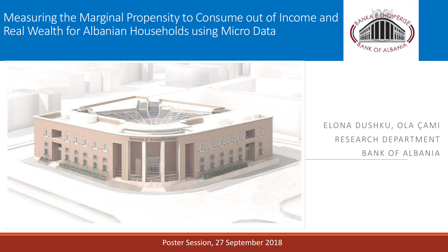Measuring the Marginal Propensity to Consume out of Income and Real Wealth for Albanian Households using Micro Data





ELONA DUSHKU, OLA ÇAMI RESEARCH DEPARTMENT BANK OF ALBANIA

### Poster Session, 27 September 2018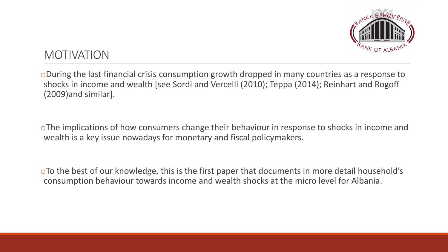

## MOTIVATION

oDuring the last financial crisis consumption growth dropped in many countries as a response to shocks in income and wealth [see Sordi and Vercelli (2010); Teppa (2014); Reinhart and Rogoff (2009)and similar].

oThe implications of how consumers change their behaviour in response to shocks in income and wealth is a key issue nowadays for monetary and fiscal policymakers.

oTo the best of our knowledge, this is the first paper that documents in more detail household's consumption behaviour towards income and wealth shocks at the micro level for Albania.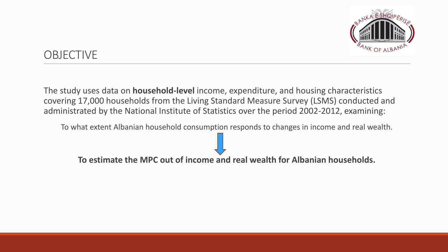

# **OBJECTIVE**

The study uses data on **household-level** income, expenditure, and housing characteristics covering 17,000 households from the Living Standard Measure Survey (LSMS) conducted and administrated by the National Institute of Statistics over the period 2002-2012, examining:

To what extent Albanian household consumption responds to changes in income and real wealth.

**To estimate the MPC out of income and real wealth for Albanian households.**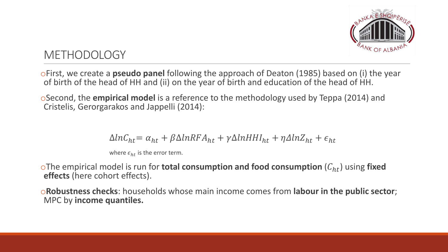

# **METHODOLOGY**

oFirst, we create a **pseudo panel** following the approach of Deaton (1985) based on (i) the year of birth of the head of HH and (ii) on the year of birth and education of the head of HH.

oSecond, the **empirical model** is a reference to the methodology used by Teppa (2014) and Cristelis, Gerorgarakos and Jappelli (2014):

$$
\Delta ln C_{ht} = \alpha_{ht} + \beta \Delta ln RFA_{ht} + \gamma \Delta ln H H I_{ht} + \eta \Delta ln Z_{ht} + \epsilon_{ht}
$$

where  $\epsilon_{ht}$  is the error term.

oThe empirical model is run for **total consumption and food consumption**  $(C_{ht})$  using **fixed effects** (here cohort effects).

o**Robustness checks**: households whose main income comes from **labour in the public sector**; MPC by **income quantiles.**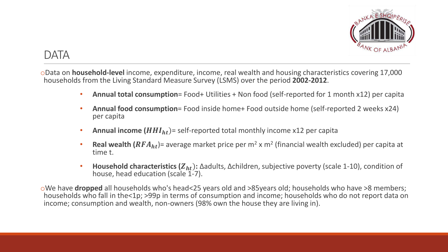

### DATA

oData on **household-level** income, expenditure, income, real wealth and housing characteristics covering 17,000 households from the Living Standard Measure Survey (LSMS) over the period **2002-2012**.

- **Annual total consumption**= Food+ Utilities + Non food (self-reported for 1 month x12) per capita
- **Annual food consumption**= Food inside home+ Food outside home (self-reported 2 weeks x24) per capita
- **Annual income**  $(HHI_{ht})$ = self-reported total monthly income x12 per capita
- **Real wealth**  $(RFA_{ht})$  = average market price per  $m^2 \times m^2$  (financial wealth excluded) per capita at time t.
- **Household characteristics (Z<sub>ht</sub>):** Δadults, Δchildren, subjective poverty (scale 1-10), condition of house, head education (scale 1-7).

oWe have **dropped** all households who's head<25 years old and >85years old; households who have >8 members; households who fall in the<1p; >99p in terms of consumption and income; households who do not report data on income; consumption and wealth, non-owners (98% own the house they are living in).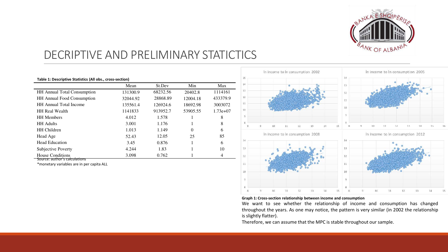

# DECRIPTIVE AND PRELIMINARY STATICTICS

| Table 1: Descriptive Statistics (All obs., cross-section) |          |          |          |            |  |
|-----------------------------------------------------------|----------|----------|----------|------------|--|
|                                                           | Mean     | St.Dev   | Min      | Max        |  |
| <b>HH</b> Annual Total Consumption                        | 131300.9 | 68232.56 | 20402.8  | 1114161    |  |
| <b>HH</b> Annual Food Consumption                         | 32044.92 | 28868.89 | 12004.18 | 433379.9   |  |
| <b>HH</b> Annual Total Income                             | 135561.4 | 126924.6 | 18692.98 | 3003072    |  |
| <b>HH Real Wealth</b>                                     | 1141833  | 913952.7 | 53905.55 | $1.73e+07$ |  |
| <b>HH</b> Members                                         | 4.012    | 1.578    |          | 8          |  |
| <b>HH</b> Adults                                          | 3.001    | 1.176    |          | 8          |  |
| <b>HH</b> Children                                        | 1.013    | 1.149    | $\Omega$ | 6          |  |
| Head Age                                                  | 52.43    | 12.05    | 25       | 85         |  |
| <b>Head Education</b>                                     | 3.45     | 0.876    |          | 6          |  |
| Subjective Poverty                                        | 4.244    | 1.83     |          | 10         |  |
| House Conditions                                          | 3.098    | 0.762    |          | 4          |  |

Source: author's calculations

\*monetary variables are in per capita ALL



#### **Graph 1: Cross-section relationship between income and consumption**

We want to see whether the relationship of income and consumption has changed throughout the years. As one may notice, the pattern is very similar (in 2002 the relationship is slightly flatter).

Therefore, we can assume that the MPC is stable throughout our sample.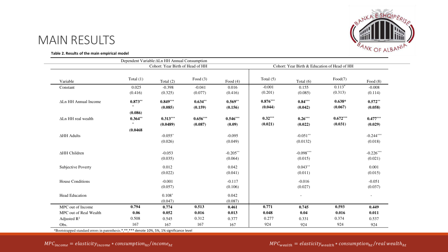

### MAIN RESULTS

#### **Table 2. Results of the main empirical model**

|                         |                                  | Dependent Variable: ALn HH Annual Consumption |            |                                              |             |                          |            |             |
|-------------------------|----------------------------------|-----------------------------------------------|------------|----------------------------------------------|-------------|--------------------------|------------|-------------|
|                         | Cohort: Year Birth of Head of HH |                                               |            | Cohort: Year Birth & Education of Head of HH |             |                          |            |             |
| Variable                | Total $(1)$                      | Total $(2)$                                   | Food $(3)$ | Food $(4)$                                   | Total $(5)$ | Total $(6)$              | Food(7)    | Food $(8)$  |
| Constant                | 0.025                            | $-0.398$                                      | $-0.041$   | 0.016                                        | $-0.001$    | 0.155                    | $0.113*$   | $-0.008$    |
|                         | (0.416)                          | (0.325)                                       | (0.077)    | (0.416)                                      | (0.201)     | (0.085)                  | (0.313)    | (0.114)     |
| ALn HH Annual Income    | $0.873**$                        | $0.849***$                                    | $0.634**$  | $0.569**$                                    | $0.876***$  | $0.84***$                | $0.638*$   | $0.572**$   |
|                         | $\ast$                           | (0.085)                                       | (0.159)    | (0.156)                                      | (0.044)     | (0.042)                  | (0.067)    | (0.058)     |
|                         | (0.086)                          |                                               |            |                                              |             |                          |            |             |
| ALn HH real wealth      | $0.364**$                        | $0.313***$                                    | $0.656***$ | $0.546***$                                   | $0.32***$   | $0.26***$                | $0.672***$ | $0.477***$  |
|                         | $\ast$                           | (0.0489)                                      | (0.087)    | (0.09)                                       | (0.021)     | (0.022)                  | (0.031)    | (0.029)     |
|                         | (0.0468)                         |                                               |            |                                              |             |                          |            |             |
| ∆HH Adults              |                                  | $-0.055*$                                     |            | $-0.095$                                     |             | $-0.051**$               |            | $-0.244***$ |
|                         |                                  | (0.026)                                       |            | (0.049)                                      |             | (0.0132)                 |            | (0.018)     |
| ∆HH Children            |                                  | $-0.053$                                      |            | $-0.205***$                                  |             | $-0.098***$              |            | $-0.226***$ |
|                         |                                  | (0.035)                                       |            | (0.064)                                      |             | (0.015)                  |            | (0.021)     |
| Subjective Poverty      |                                  | 0.012                                         |            | 0.042                                        |             | $0.043**$                |            | 0.001       |
|                         |                                  | (0.022)                                       |            | (0.041)                                      |             | (0.011)                  |            | (0.015)     |
| House Conditions        |                                  | $-0.001$                                      |            | $-0.117$                                     |             | $-0.016$                 |            | $-0.051$    |
|                         |                                  | (0.057)                                       |            | (0.106)                                      |             | (0.027)                  |            | (0.037)     |
| Head Education          |                                  | $0.108*$                                      |            | 0.042                                        |             | $\overline{\phantom{a}}$ |            | $\sim$      |
|                         |                                  | (0.047)                                       |            | (0.087)                                      |             |                          |            |             |
| MPC out of Income       | 0.794                            | 0.774                                         | 0.513      | 0.461                                        | 0.771       | 0.745                    | 0.593      | 0.449       |
| MPC out of Real Wealth  | 0.06                             | 0.052                                         | 0.016      | 0.013                                        | 0.048       | 0.04                     | 0.016      | 0.011       |
| Adjusted $\mathbb{R}^2$ | 0.508                            | 0.545                                         | 0.312      | 0.377                                        | 0.277       | 0.331                    | 0.374      | 0.537       |
| Obs.                    | 167                              | 167                                           | 167        | 167                                          | 924         | 924                      | 924        | 924         |

\*Bootstrapped standard errors in parenthesis.\*,\*\*,\*\*\* denote 10%, 5%, 1% significance level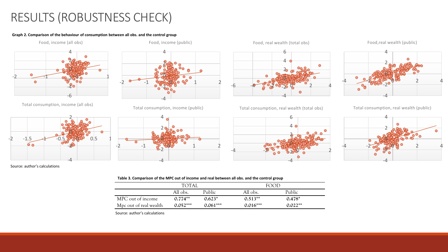# RESULTS (ROBUSTNESS CHECK)

#### **Graph 2. Comparison of the behaviour of consumption between all obs. and the control group**



Total consumption, income (all obs)



-4  $-2$ 0 2 4  $-2$   $-1$   $\cos 8.00000000001$  2

Food, income (public)

Total consumption, income (public)









Food,real wealth (public)

Total consumption, real wealth (total obs)



Total consumption, real wealth (public)



Source: author's calculations

#### **Table 3. Comparison of the MPC out of income and real between all obs. and the control group**

|                        | <b>TOTAI</b> |            | FOOD       |               |  |
|------------------------|--------------|------------|------------|---------------|--|
|                        | All obs.     | Public     | All obs.   | <b>Public</b> |  |
| MPC out of income      | $0.774**$    | $0.623*$   | $0.513**$  | $0.478*$      |  |
| Mpc out of real wealth | $0.052***$   | $0.061***$ | $0.016***$ | $0.022**$     |  |

Source: author's calculations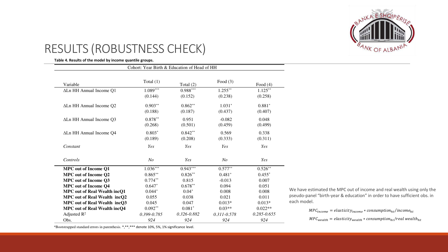

# RESULTS (ROBUSTNESS CHECK)

**Table 4. Results of the model by income quantile groups.**

| Cohort: Year Birth & Education of Head of HH |                 |                 |                 |                 |
|----------------------------------------------|-----------------|-----------------|-----------------|-----------------|
| Variable                                     | Total $(1)$     | Total $(2)$     | Food $(3)$      | Food $(4)$      |
| ALn HH Annual Income Q1                      | $1.089***$      | $0.988***$      | $1.255***$      | $1.125***$      |
|                                              | (0.144)         | (0.152)         | (0.238)         | (0.258)         |
| ALn HH Annual Income Q2                      | $0.903**$       | $0.862**$       | $1.031*$        | $0.881*$        |
|                                              | (0.188)         | (0.187)         | (0.437)         | (0.407)         |
| ALn HH Annual Income Q3                      | $0.878**$       | 0.951           | $-0.082$        | 0.048           |
|                                              | (0.268)         | (0.501)         | (0.459)         | (0.499)         |
| ALn HH Annual Income Q4                      | $0.803*$        | $0.842**$       | 0.569           | 0.338           |
|                                              | (0.189)         | (0.208)         | (0.333)         | (0.311)         |
| Constant                                     | Yes             | Yes             | Yes             | Yes             |
| Controls                                     | N <sub>O</sub>  | Yes             | N <sub>O</sub>  | Yes             |
| <b>MPC</b> out of Income Q1                  | $1.036***$      | $0.943***$      | $0.577**$       | $0.526**$       |
| <b>MPC</b> out of Income Q2                  | $0.865***$      | $0.826**$       | $0.481*$        | $0.455*$        |
| <b>MPC</b> out of Income Q3                  | $0.774**$       | 0.815           | $-0.013$        | 0.007           |
| <b>MPC</b> out of Income Q4                  | $0.647*$        | $0.678**$       | 0.094           | 0.051           |
| <b>MPC out of Real Wealth incQ1</b>          | $0.044*$        | $0.04*$         | 0.008           | 0.008           |
| <b>MPC</b> out of Real Wealth incQ2          | 0.055           | 0.038           | 0.021           | 0.011           |
| MPC out of Real Wealth incQ3                 | 0.045           | 0.047           | $0.013*$        | $0.013*$        |
| <b>MPC out of Real Wealth incQ4</b>          | $0.092**$       | $0.081*$        | $0.03**$        | $0.022**$       |
| Adjusted $R^2$                               | $0.399 - 0.785$ | $0.326 - 0.882$ | $0.311 - 0.578$ | $0.285 - 0.655$ |
| Obs.                                         | 924             | 924             | 924             | 924             |

We have estimated the MPC out of income and real wealth using only the pseudo-panel "birth-year & education" in order to have sufficient obs. in each model.

 $MPC_{income} = elasticity_{income} * consumption_{ht}/income_{ht}$ 

 $MPC_{wealth} = elasticity_{wealth} * consumption_{ht}/real\, wealth$ 

\*Bootstrapped standard errors in parenthesis. \*,\*\*,\*\*\* denote 10%, 5%, 1% significance level.